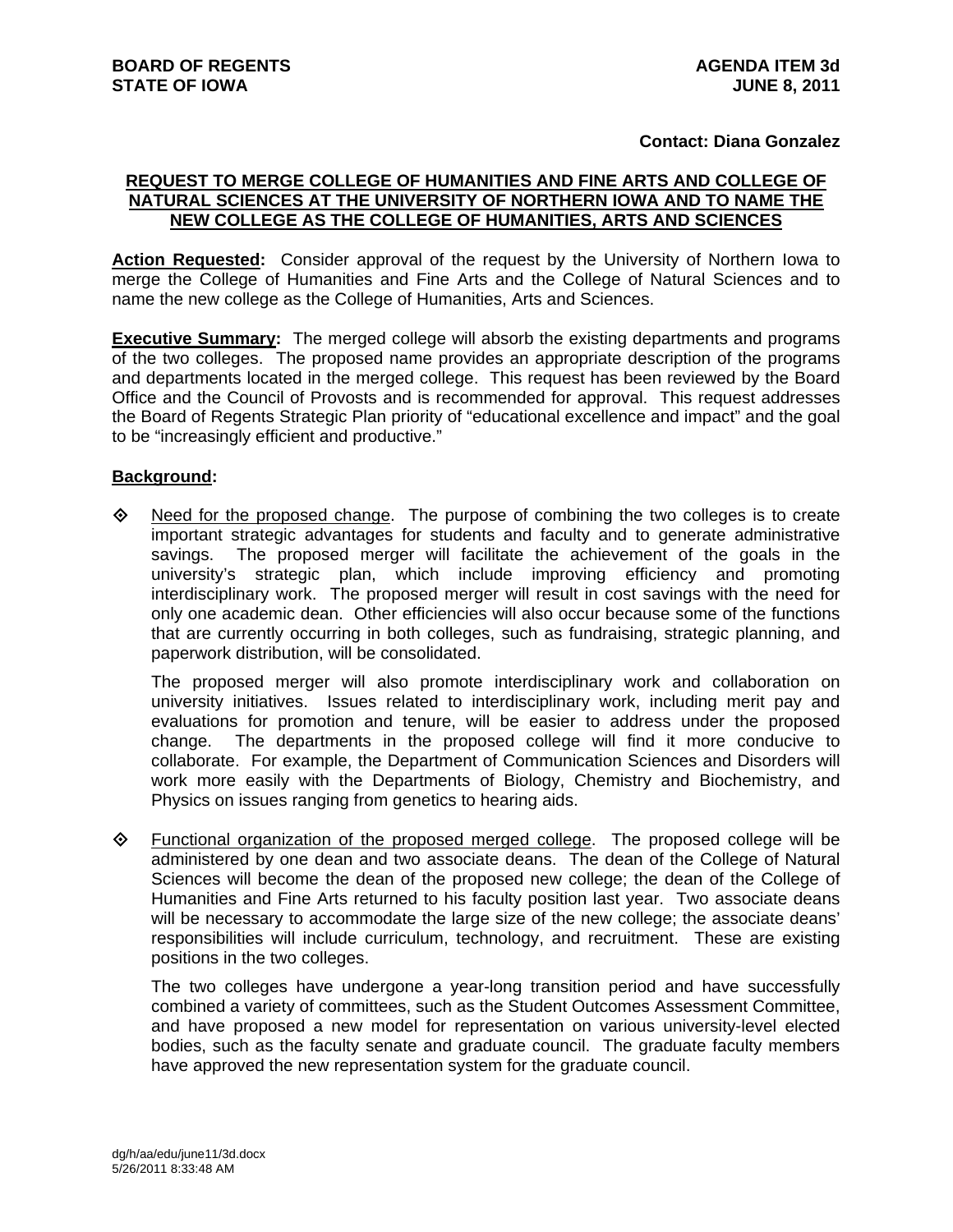## **Contact: Diana Gonzalez**

## **REQUEST TO MERGE COLLEGE OF HUMANITIES AND FINE ARTS AND COLLEGE OF NATURAL SCIENCES AT THE UNIVERSITY OF NORTHERN IOWA AND TO NAME THE NEW COLLEGE AS THE COLLEGE OF HUMANITIES, ARTS AND SCIENCES**

**Action Requested:** Consider approval of the request by the University of Northern Iowa to merge the College of Humanities and Fine Arts and the College of Natural Sciences and to name the new college as the College of Humanities, Arts and Sciences.

**Executive Summary:** The merged college will absorb the existing departments and programs of the two colleges. The proposed name provides an appropriate description of the programs and departments located in the merged college. This request has been reviewed by the Board Office and the Council of Provosts and is recommended for approval. This request addresses the Board of Regents Strategic Plan priority of "educational excellence and impact" and the goal to be "increasingly efficient and productive."

## **Background:**

 $\Diamond$  Need for the proposed change. The purpose of combining the two colleges is to create important strategic advantages for students and faculty and to generate administrative savings. The proposed merger will facilitate the achievement of the goals in the university's strategic plan, which include improving efficiency and promoting interdisciplinary work. The proposed merger will result in cost savings with the need for only one academic dean. Other efficiencies will also occur because some of the functions that are currently occurring in both colleges, such as fundraising, strategic planning, and paperwork distribution, will be consolidated.

The proposed merger will also promote interdisciplinary work and collaboration on university initiatives. Issues related to interdisciplinary work, including merit pay and evaluations for promotion and tenure, will be easier to address under the proposed change. The departments in the proposed college will find it more conducive to collaborate. For example, the Department of Communication Sciences and Disorders will work more easily with the Departments of Biology, Chemistry and Biochemistry, and Physics on issues ranging from genetics to hearing aids.

 Functional organization of the proposed merged college. The proposed college will be administered by one dean and two associate deans. The dean of the College of Natural Sciences will become the dean of the proposed new college; the dean of the College of Humanities and Fine Arts returned to his faculty position last year. Two associate deans will be necessary to accommodate the large size of the new college; the associate deans' responsibilities will include curriculum, technology, and recruitment. These are existing positions in the two colleges.

The two colleges have undergone a year-long transition period and have successfully combined a variety of committees, such as the Student Outcomes Assessment Committee, and have proposed a new model for representation on various university-level elected bodies, such as the faculty senate and graduate council. The graduate faculty members have approved the new representation system for the graduate council.